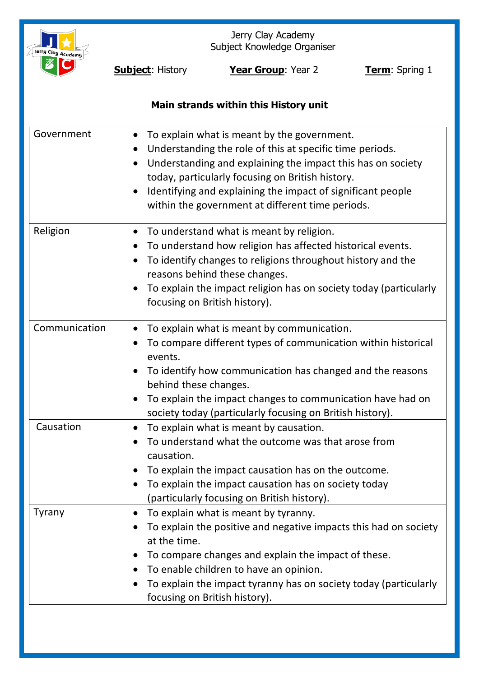

Jerry Clay Academy Subject Knowledge Organiser

**Subject:** History **Year Group**: Year 2 **Term**: Spring 1

# **Main strands within this History unit**

| Government    | To explain what is meant by the government.<br>$\bullet$<br>Understanding the role of this at specific time periods.<br>$\bullet$<br>Understanding and explaining the impact this has on society<br>$\bullet$<br>today, particularly focusing on British history.<br>Identifying and explaining the impact of significant people<br>$\bullet$<br>within the government at different time periods. |
|---------------|---------------------------------------------------------------------------------------------------------------------------------------------------------------------------------------------------------------------------------------------------------------------------------------------------------------------------------------------------------------------------------------------------|
| Religion      | To understand what is meant by religion.<br>$\bullet$<br>To understand how religion has affected historical events.<br>$\bullet$<br>To identify changes to religions throughout history and the<br>$\bullet$<br>reasons behind these changes.<br>To explain the impact religion has on society today (particularly<br>focusing on British history).                                               |
| Communication | To explain what is meant by communication.<br>To compare different types of communication within historical<br>events.<br>To identify how communication has changed and the reasons<br>behind these changes.<br>To explain the impact changes to communication have had on<br>society today (particularly focusing on British history).                                                           |
| Causation     | To explain what is meant by causation.<br>$\bullet$<br>To understand what the outcome was that arose from<br>causation.<br>To explain the impact causation has on the outcome.<br>To explain the impact causation has on society today<br>(particularly focusing on British history).                                                                                                             |
| Tyrany        | To explain what is meant by tyranny.<br>To explain the positive and negative impacts this had on society<br>at the time.<br>To compare changes and explain the impact of these.<br>To enable children to have an opinion.<br>To explain the impact tyranny has on society today (particularly<br>focusing on British history).                                                                    |